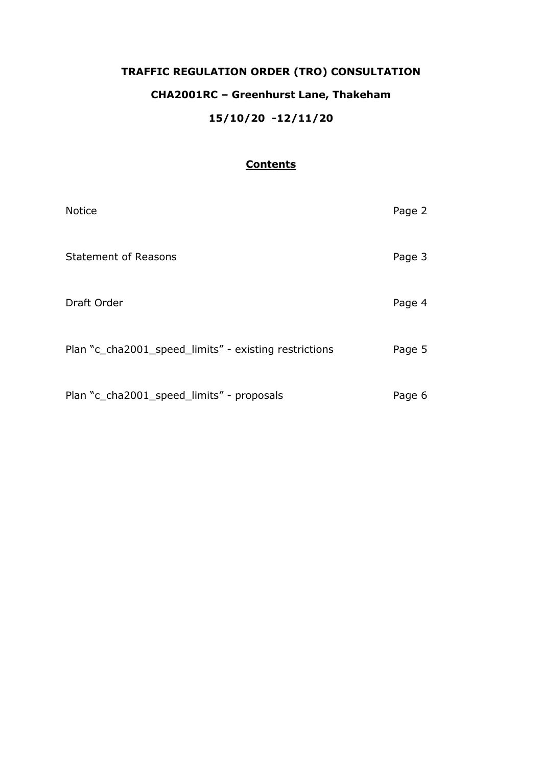# **TRAFFIC REGULATION ORDER (TRO) CONSULTATION CHA2001RC – Greenhurst Lane, Thakeham 15/10/20 -12/11/20**

## **Contents**

| <b>Notice</b>                                         | Page 2 |
|-------------------------------------------------------|--------|
| <b>Statement of Reasons</b>                           | Page 3 |
| Draft Order                                           | Page 4 |
| Plan "c_cha2001_speed_limits" - existing restrictions | Page 5 |
| Plan "c_cha2001_speed_limits" - proposals             | Page 6 |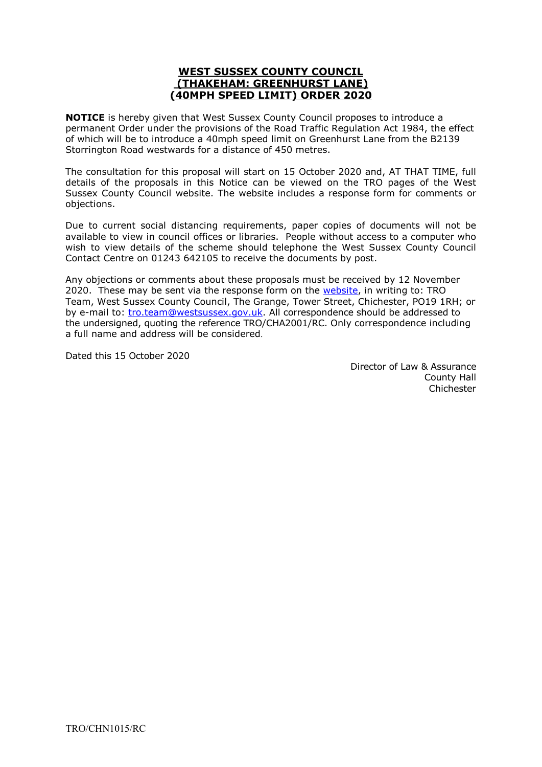## **WEST SUSSEX COUNTY COUNCIL (THAKEHAM: GREENHURST LANE) (40MPH SPEED LIMIT) ORDER 2020**

**NOTICE** is hereby given that West Sussex County Council proposes to introduce a permanent Order under the provisions of the Road Traffic Regulation Act 1984, the effect of which will be to introduce a 40mph speed limit on Greenhurst Lane from the B2139 Storrington Road westwards for a distance of 450 metres.

The consultation for this proposal will start on 15 October 2020 and, AT THAT TIME, full details of the proposals in this Notice can be viewed on the TRO pages of the West Sussex County Council website. The website includes a response form for comments or objections.

Due to current social distancing requirements, paper copies of documents will not be available to view in council offices or libraries. People without access to a computer who wish to view details of the scheme should telephone the West Sussex County Council Contact Centre on 01243 642105 to receive the documents by post.

Any objections or comments about these proposals must be received by 12 November 2020. These may be sent via the response form on the [website,](https://www.westsussex.gov.uk/roads-and-travel/traffic-regulation-orders/) in writing to: TRO Team, West Sussex County Council, The Grange, Tower Street, Chichester, PO19 1RH; or by e-mail to: [tro.team@westsussex.gov.uk.](mailto:tro.team@westsussex.gov.uk) All correspondence should be addressed to the undersigned, quoting the reference TRO/CHA2001/RC. Only correspondence including a full name and address will be considered.

Dated this 15 October 2020

 Director of Law & Assurance County Hall Chichester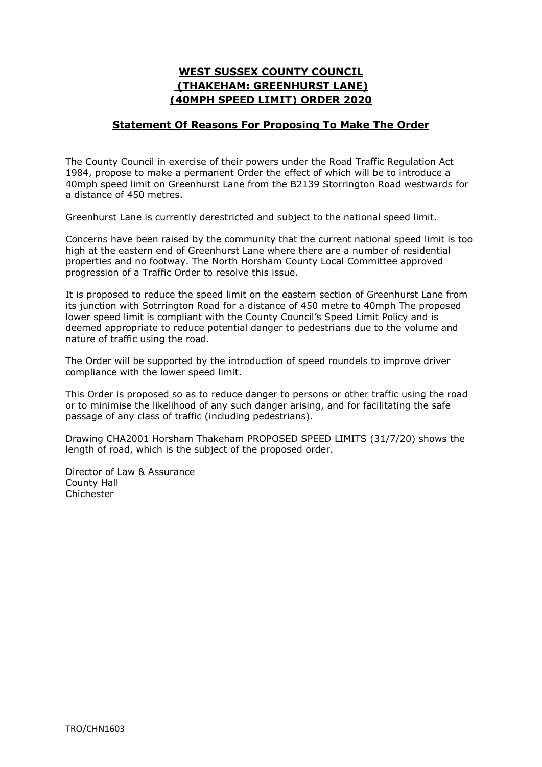## **WEST SUSSEX COUNTY COUNCIL (THAKEHAM: GREENHURST LANE) (40MPH SPEED LIMIT) ORDER 2020**

## **Statement Of Reasons For Proposing To Make The Order**

The County Council in exercise of their powers under the Road Traffic Regulation Act 1984, propose to make a permanent Order the effect of which will be to introduce a 40mph speed limit on Greenhurst Lane from the B2139 Storrington Road westwards for a distance of 450 metres.

Greenhurst Lane is currently derestricted and subject to the national speed limit.

Concerns have been raised by the community that the current national speed limit is too high at the eastern end of Greenhurst Lane where there are a number of residential properties and no footway. The North Horsham County Local Committee approved progression of a Traffic Order to resolve this issue.

It is proposed to reduce the speed limit on the eastern section of Greenhurst Lane from its junction with Sotrrington Road for a distance of 450 metre to 40mph The proposed lower speed limit is compliant with the County Council's Speed Limit Policy and is deemed appropriate to reduce potential danger to pedestrians due to the volume and nature of traffic using the road.

The Order will be supported by the introduction of speed roundels to improve driver compliance with the lower speed limit.

This Order is proposed so as to reduce danger to persons or other traffic using the road or to minimise the likelihood of any such danger arising, and for facilitating the safe passage of any class of traffic (including pedestrians).

Drawing CHA2001 Horsham Thakeham PROPOSED SPEED LIMITS (31/7/20) shows the length of road, which is the subject of the proposed order.

Director of Law & Assurance County Hall Chichester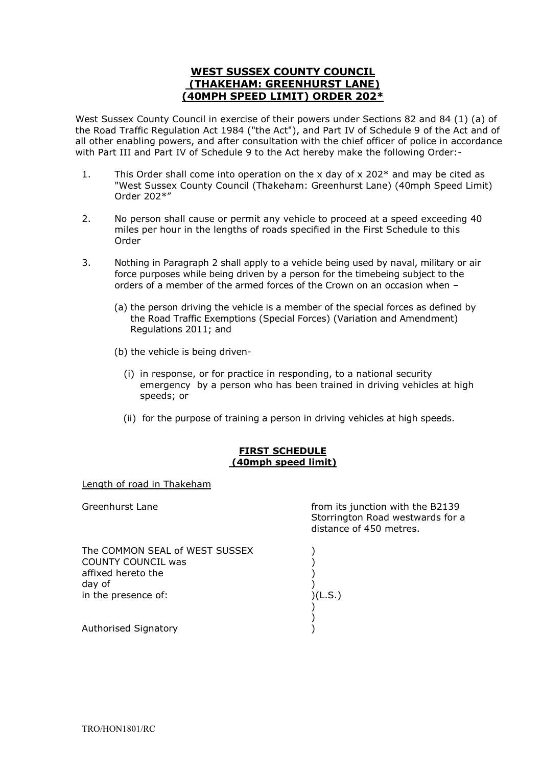## **WEST SUSSEX COUNTY COUNCIL (THAKEHAM: GREENHURST LANE) (40MPH SPEED LIMIT) ORDER 202\***

West Sussex County Council in exercise of their powers under Sections 82 and 84 (1) (a) of the Road Traffic Regulation Act 1984 ("the Act"), and Part IV of Schedule 9 of the Act and of all other enabling powers, and after consultation with the chief officer of police in accordance with Part III and Part IV of Schedule 9 to the Act hereby make the following Order:-

- 1. This Order shall come into operation on the x day of x 202 $*$  and may be cited as "West Sussex County Council (Thakeham: Greenhurst Lane) (40mph Speed Limit) Order 202\*"
- 2. No person shall cause or permit any vehicle to proceed at a speed exceeding 40 miles per hour in the lengths of roads specified in the First Schedule to this Order
- 3. Nothing in Paragraph 2 shall apply to a vehicle being used by naval, military or air force purposes while being driven by a person for the timebeing subject to the orders of a member of the armed forces of the Crown on an occasion when –
	- (a) the person driving the vehicle is a member of the special forces as defined by the Road Traffic Exemptions (Special Forces) (Variation and Amendment) Regulations 2011; and
	- (b) the vehicle is being driven-
		- (i) in response, or for practice in responding, to a national security emergency by a person who has been trained in driving vehicles at high speeds; or
		- (ii) for the purpose of training a person in driving vehicles at high speeds.

#### **FIRST SCHEDULE (40mph speed limit)**

Length of road in Thakeham

| Greenhurst Lane                                                                                                    | from its junction with the B2139<br>Storrington Road westwards for a<br>distance of 450 metres. |
|--------------------------------------------------------------------------------------------------------------------|-------------------------------------------------------------------------------------------------|
| The COMMON SEAL of WEST SUSSEX<br><b>COUNTY COUNCIL was</b><br>affixed hereto the<br>day of<br>in the presence of: | (L.S.)                                                                                          |
| <b>Authorised Signatory</b>                                                                                        |                                                                                                 |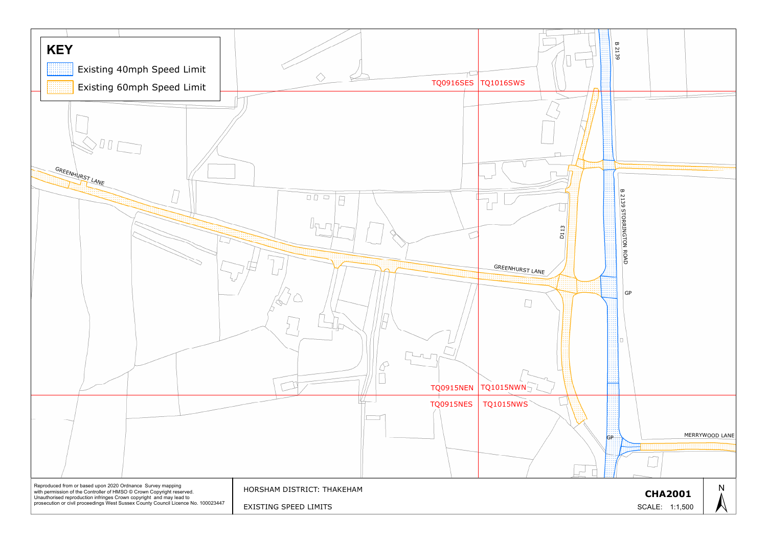